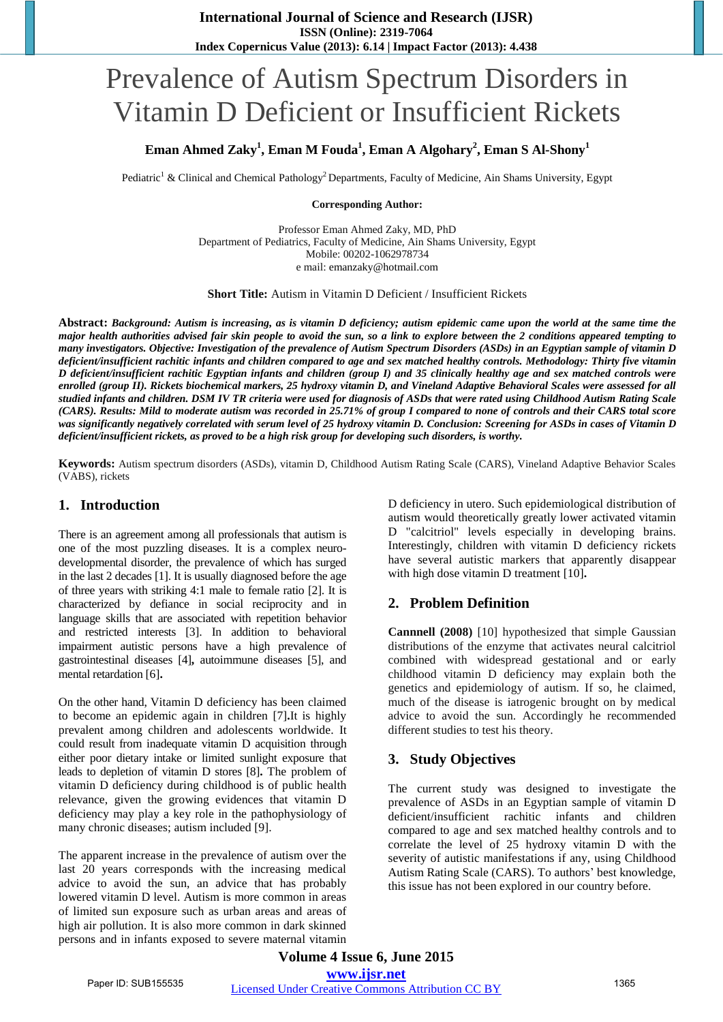# Prevalence of Autism Spectrum Disorders in Vitamin D Deficient or Insufficient Rickets

# **Eman Ahmed Zaky<sup>1</sup> , Eman M Fouda<sup>1</sup> , Eman A Algohary<sup>2</sup> , Eman S Al-Shony<sup>1</sup>**

Pediatric<sup>1</sup> & Clinical and Chemical Pathology<sup>2</sup> Departments, Faculty of Medicine, Ain Shams University, Egypt

#### **Corresponding Author:**

Professor Eman Ahmed Zaky, MD, PhD Department of Pediatrics, Faculty of Medicine, Ain Shams University, Egypt Mobile: 00202-1062978734 e mail: emanzaky@hotmail.com

**Short Title:** Autism in Vitamin D Deficient / Insufficient Rickets

**Abstract:** *Background: Autism is increasing, as is vitamin D deficiency; autism epidemic came upon the world at the same time the major health authorities advised fair skin people to avoid the sun, so a link to explore between the 2 conditions appeared tempting to many investigators. Objective: Investigation of the prevalence of Autism Spectrum Disorders (ASDs) in an Egyptian sample of vitamin D deficient/insufficient rachitic infants and children compared to age and sex matched healthy controls. Methodology: Thirty five vitamin D deficient/insufficient rachitic Egyptian infants and children (group I) and 35 clinically healthy age and sex matched controls were enrolled (group II). Rickets biochemical markers, 25 hydroxy vitamin D, and Vineland Adaptive Behavioral Scales were assessed for all studied infants and children. DSM IV TR criteria were used for diagnosis of ASDs that were rated using Childhood Autism Rating Scale (CARS). Results: Mild to moderate autism was recorded in 25.71% of group I compared to none of controls and their CARS total score was significantly negatively correlated with serum level of 25 hydroxy vitamin D. Conclusion: Screening for ASDs in cases of Vitamin D deficient/insufficient rickets, as proved to be a high risk group for developing such disorders, is worthy.*

**Keywords:** Autism spectrum disorders (ASDs), vitamin D, Childhood Autism Rating Scale (CARS), Vineland Adaptive Behavior Scales (VABS), rickets

## **1. Introduction**

There is an agreement among all professionals that autism is one of the most puzzling diseases. It is a complex neurodevelopmental disorder, the prevalence of which has surged in the last 2 decades [1]. It is usually diagnosed before the age of three years with striking 4:1 male to female ratio [2]. It is characterized by defiance in social reciprocity and in language skills that are associated with repetition behavior and restricted interests [3]. In addition to behavioral impairment autistic persons have a high prevalence of gastrointestinal diseases [4]**,** autoimmune diseases [5], and mental retardation [6]**.**

On the other hand, Vitamin D deficiency has been claimed to become an epidemic again in children [7]**.**It is highly prevalent among children and adolescents worldwide. It could result from inadequate vitamin D acquisition through either poor dietary intake or limited sunlight exposure that leads to depletion of vitamin D stores [8]**.** The problem of vitamin D deficiency during childhood is of public health relevance, given the growing evidences that vitamin D deficiency may play a key role in the pathophysiology of many chronic diseases; autism included [9].

The apparent increase in the prevalence of autism over the last 20 years corresponds with the increasing medical advice to avoid the sun, an advice that has probably lowered vitamin D level. Autism is more common in areas of limited sun exposure such as urban areas and areas of high air pollution. It is also more common in dark skinned persons and in infants exposed to severe maternal vitamin D deficiency in utero. Such epidemiological distribution of autism would theoretically greatly lower activated vitamin D "calcitriol" levels especially in developing brains. Interestingly, children with vitamin D deficiency rickets have several autistic markers that apparently disappear with high dose vitamin D treatment [10]**.** 

# **2. Problem Definition**

**Cannnell (2008)** [10] hypothesized that simple Gaussian distributions of the enzyme that activates neural calcitriol combined with widespread gestational and or early childhood vitamin D deficiency may explain both the genetics and epidemiology of autism. If so, he claimed, much of the disease is iatrogenic brought on by medical advice to avoid the sun. Accordingly he recommended different studies to test his theory.

# **3. Study Objectives**

The current study was designed to investigate the prevalence of ASDs in an Egyptian sample of vitamin D deficient/insufficient rachitic infants and children compared to age and sex matched healthy controls and to correlate the level of 25 hydroxy vitamin D with the severity of autistic manifestations if any, using Childhood Autism Rating Scale (CARS). To authors' best knowledge, this issue has not been explored in our country before.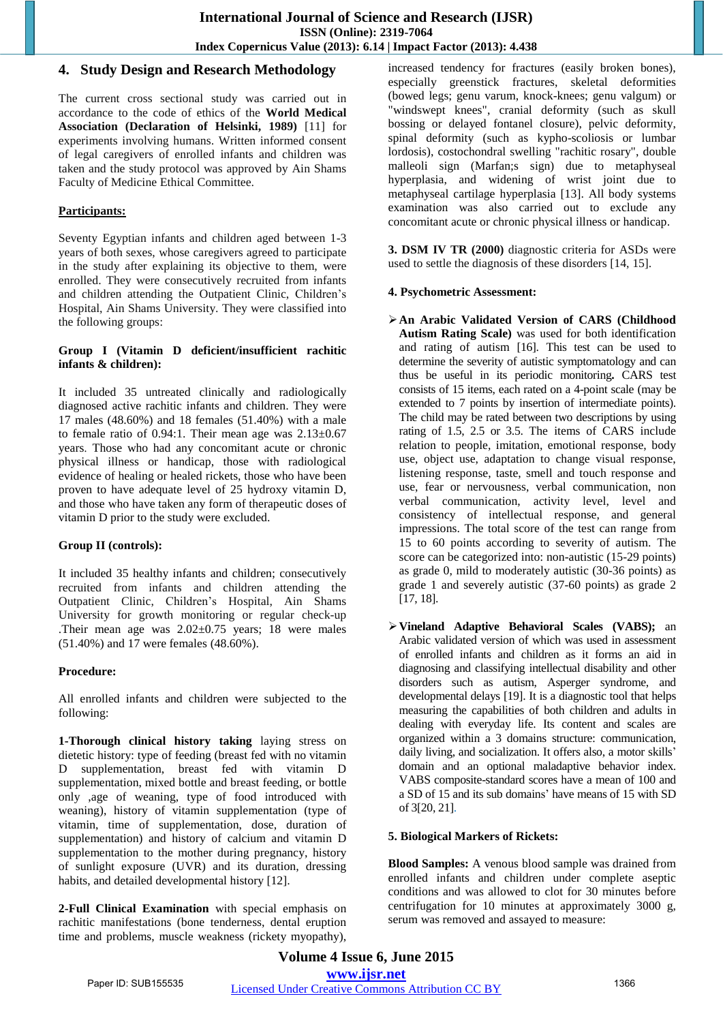# **4. Study Design and Research Methodology**

The current cross sectional study was carried out in accordance to the code of ethics of the **World Medical Association (Declaration of Helsinki, 1989)** [11] for experiments involving humans. Written informed consent of legal caregivers of enrolled infants and children was taken and the study protocol was approved by Ain Shams Faculty of Medicine Ethical Committee.

# **Participants:**

Seventy Egyptian infants and children aged between 1-3 years of both sexes, whose caregivers agreed to participate in the study after explaining its objective to them, were enrolled. They were consecutively recruited from infants and children attending the Outpatient Clinic, Children"s Hospital, Ain Shams University. They were classified into the following groups:

## **Group I (Vitamin D deficient/insufficient rachitic infants & children):**

It included 35 untreated clinically and radiologically diagnosed active rachitic infants and children. They were 17 males (48.60%) and 18 females (51.40%) with a male to female ratio of 0.94:1. Their mean age was  $2.13\pm0.67$ years. Those who had any concomitant acute or chronic physical illness or handicap, those with radiological evidence of healing or healed rickets, those who have been proven to have adequate level of 25 hydroxy vitamin D, and those who have taken any form of therapeutic doses of vitamin D prior to the study were excluded.

# **Group II (controls):**

It included 35 healthy infants and children; consecutively recruited from infants and children attending the Outpatient Clinic, Children"s Hospital, Ain Shams University for growth monitoring or regular check-up .Their mean age was 2.02±0.75 years; 18 were males (51.40%) and 17 were females (48.60%).

# **Procedure:**

All enrolled infants and children were subjected to the following:

**1-Thorough clinical history taking** laying stress on dietetic history: type of feeding (breast fed with no vitamin D supplementation, breast fed with vitamin D supplementation, mixed bottle and breast feeding, or bottle only ,age of weaning, type of food introduced with weaning), history of vitamin supplementation (type of vitamin, time of supplementation, dose, duration of supplementation) and history of calcium and vitamin D supplementation to the mother during pregnancy, history of sunlight exposure (UVR) and its duration, dressing habits, and detailed developmental history [12].

**2-Full Clinical Examination** with special emphasis on rachitic manifestations (bone tenderness, [dental](http://en.wikipedia.org/wiki/Tooth) eruption time and problems, [muscle](http://en.wikipedia.org/wiki/Muscle) weakness [\(rickety myopathy\)](http://en.wikipedia.org/w/index.php?title=Rickety_myopathy&action=edit&redlink=1), increased tendency for [fractures](http://en.wikipedia.org/wiki/Fracture) (easily broken bones), especially [greenstick fractures,](http://en.wikipedia.org/wiki/Greenstick_fracture) skeletal deformities (bowed legs; [genu varum,](http://en.wikipedia.org/wiki/Genu_varum) knock-knees; [genu valgum\)](http://en.wikipedia.org/wiki/Genu_valgum) or "windswept knees", cranial deformity (such as [skull](http://en.wikipedia.org/wiki/Skull_bossing)  [bossing](http://en.wikipedia.org/wiki/Skull_bossing) or delayed fontanel closure), pelvic deformity, spinal deformity (such as [kypho-scoliosis](http://en.wikipedia.org/wiki/Kyphoscoliosis) or lumbar [lordosis\)](http://en.wikipedia.org/wiki/Lordosis), [costochondral](http://en.wikipedia.org/wiki/Costochondral_joint) swelling ["rachitic rosary"](http://en.wikipedia.org/wiki/Rachitic_rosary), double malleoli sign (Marfan;s sign) due to metaphyseal hyperplasia, and widening of wrist joint due to metaphyseal cartilage hyperplasia [13]. All body systems examination was also carried out to exclude any concomitant acute or chronic physical illness or handicap.

**3. DSM IV TR (2000)** diagnostic criteria for ASDs were used to settle the diagnosis of these disorders [14, 15].

## **4. Psychometric Assessment:**

- **An Arabic Validated Version of CARS (Childhood Autism Rating Scale)** was used for both identification and rating of autism [16]. This test can be used to determine the severity of autistic symptomatology and can thus be useful in its periodic monitoring**.** CARS test consists of 15 items, each rated on a 4-point scale (may be extended to 7 points by insertion of intermediate points). The child may be rated between two descriptions by using rating of 1.5, 2.5 or 3.5. The items of CARS include relation to people, imitation, emotional response, body use, object use, adaptation to change visual response, listening response, taste, smell and touch response and use, fear or nervousness, verbal communication, non verbal communication, activity level, level and consistency of intellectual response, and general impressions. The total score of the test can range from 15 to 60 points according to severity of autism. The score can be categorized into: non-autistic (15-29 points) as grade 0, mild to moderately autistic (30-36 points) as grade 1 and severely autistic (37-60 points) as grade 2 [17, 18].
- **Vineland Adaptive Behavioral Scales (VABS);** an Arabic validated version of which was used in assessment of enrolled infants and children as it forms an aid in diagnosing and classifying intellectual disability and other disorders such as autism, Asperger syndrome, and developmental delays [19]. It is a diagnostic tool that helps measuring the capabilities of both children and adults in dealing with everyday life. Its content and scales are organized within a 3 domains structure: communication, daily living, and socialization. It offers also, a motor skills' domain and an optional maladaptive behavior index. VABS composite-standard scores have a mean of 100 and a SD of 15 and its sub domains" have means of 15 with SD of 3[20, 21].

#### **5. Biological Markers of Rickets:**

**Blood Samples:** A venous blood sample was drained from enrolled infants and children under complete aseptic conditions and was allowed to clot for 30 minutes before centrifugation for 10 minutes at approximately 3000 g, serum was removed and assayed to measure: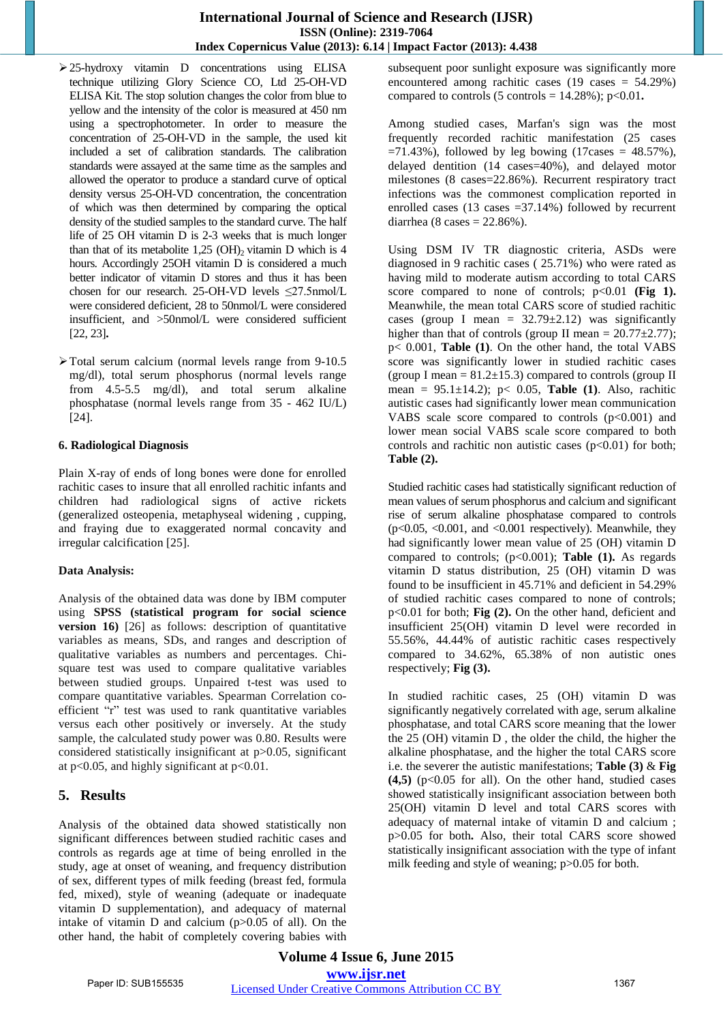- 25-hydroxy vitamin D concentrations using ELISA technique utilizing Glory Science CO, Ltd 25-OH-VD ELISA Kit. The stop solution changes the color from blue to yellow and the intensity of the color is measured at 450 nm using a spectrophotometer. In order to measure the concentration of 25-OH-VD in the sample, the used kit included a set of calibration standards. The calibration standards were assayed at the same time as the samples and allowed the operator to produce a standard curve of optical density versus 25-OH-VD concentration, the concentration of which was then determined by comparing the optical density of the studied samples to the standard curve. The half life of 25 OH vitamin D is 2-3 weeks that is much longer than that of its metabolite  $1,25$  (OH)<sub>2</sub> vitamin D which is 4 hours. Accordingly 25OH vitamin D is considered a much better indicator of vitamin D stores and thus it has been chosen for our research. 25-OH-VD levels ≤27.5nmol/L were considered deficient, 28 to 50nmol/L were considered insufficient, and >50nmol/L were considered sufficient [22, 23]**.**
- Total serum calcium (normal levels range from 9-10.5 mg/dl), total serum phosphorus (normal levels range from 4.5-5.5 mg/dl), and total serum alkaline phosphatase (normal levels range from 35 - 462 IU/L) [24].

#### **6. Radiological Diagnosis**

Plain X-ray of ends of long bones were done for enrolled rachitic cases to insure that all enrolled rachitic infants and children had radiological signs of active rickets (generalized osteopenia, metaphyseal widening , cupping, and fraying due to exaggerated normal concavity and irregular calcification [25].

#### **Data Analysis:**

Analysis of the obtained data was done by IBM computer using **SPSS (statistical program for social science version 16)** [26] as follows: description of quantitative variables as means, SDs, and ranges and description of qualitative variables as numbers and percentages. Chisquare test was used to compare qualitative variables between studied groups. Unpaired t-test was used to compare quantitative variables. Spearman Correlation coefficient "r" test was used to rank quantitative variables versus each other positively or inversely. At the study sample, the calculated study power was 0.80. Results were considered statistically insignificant at p>0.05, significant at  $p<0.05$ , and highly significant at  $p<0.01$ .

# **5. Results**

Analysis of the obtained data showed statistically non significant differences between studied rachitic cases and controls as regards age at time of being enrolled in the study, age at onset of weaning, and frequency distribution of sex, different types of milk feeding (breast fed, formula fed, mixed), style of weaning (adequate or inadequate vitamin D supplementation), and adequacy of maternal intake of vitamin D and calcium  $(p>0.05$  of all). On the other hand, the habit of completely covering babies with subsequent poor sunlight exposure was significantly more encountered among rachitic cases  $(19 \text{ cases} = 54.29\%)$ compared to controls  $(5 \text{ controls} = 14.28\%)$ ;  $p<0.01$ .

Among studied cases, Marfan's sign was the most frequently recorded rachitic manifestation (25 cases  $=71.43\%$ ), followed by leg bowing (17cases = 48.57%), delayed dentition (14 cases=40%), and delayed motor milestones (8 cases=22.86%). Recurrent respiratory tract infections was the commonest complication reported in enrolled cases  $(13 \text{ cases} = 37.14\%)$  followed by recurrent diarrhea (8 cases  $= 22.86\%$ ).

Using DSM IV TR diagnostic criteria, ASDs were diagnosed in 9 rachitic cases ( 25.71%) who were rated as having mild to moderate autism according to total CARS score compared to none of controls; p<0.01 **(Fig 1).** Meanwhile, the mean total CARS score of studied rachitic cases (group I mean =  $32.79 \pm 2.12$ ) was significantly higher than that of controls (group II mean =  $20.77\pm2.77$ ); p< 0.001, **Table (1)**. On the other hand, the total VABS score was significantly lower in studied rachitic cases (group I mean  $= 81.2 \pm 15.3$ ) compared to controls (group II mean = 95.1±14.2); p< 0.05, **Table (1)**. Also, rachitic autistic cases had significantly lower mean communication VABS scale score compared to controls  $(p<0.001)$  and lower mean social VABS scale score compared to both controls and rachitic non autistic cases  $(p<0.01)$  for both; **Table (2).** 

Studied rachitic cases had statistically significant reduction of mean values of serum phosphorus and calcium and significant rise of serum alkaline phosphatase compared to controls  $(p<0.05, <0.001,$  and  $<0.001$  respectively). Meanwhile, they had significantly lower mean value of 25 (OH) vitamin D compared to controls; (p<0.001); **Table (1).** As regards vitamin D status distribution, 25 (OH) vitamin D was found to be insufficient in 45.71% and deficient in 54.29% of studied rachitic cases compared to none of controls; p<0.01 for both; **Fig (2).** On the other hand, deficient and insufficient 25(OH) vitamin D level were recorded in 55.56%, 44.44% of autistic rachitic cases respectively compared to 34.62%, 65.38% of non autistic ones respectively; **Fig (3).** 

In studied rachitic cases, 25 (OH) vitamin D was significantly negatively correlated with age, serum alkaline phosphatase, and total CARS score meaning that the lower the 25 (OH) vitamin D , the older the child, the higher the alkaline phosphatase, and the higher the total CARS score i.e. the severer the autistic manifestations; **Table (3)** & **Fig**   $(4,5)$  ( $p<0.05$  for all). On the other hand, studied cases showed statistically insignificant association between both 25(OH) vitamin D level and total CARS scores with adequacy of maternal intake of vitamin D and calcium ; p>0.05 for both**.** Also, their total CARS score showed statistically insignificant association with the type of infant milk feeding and style of weaning; p>0.05 for both.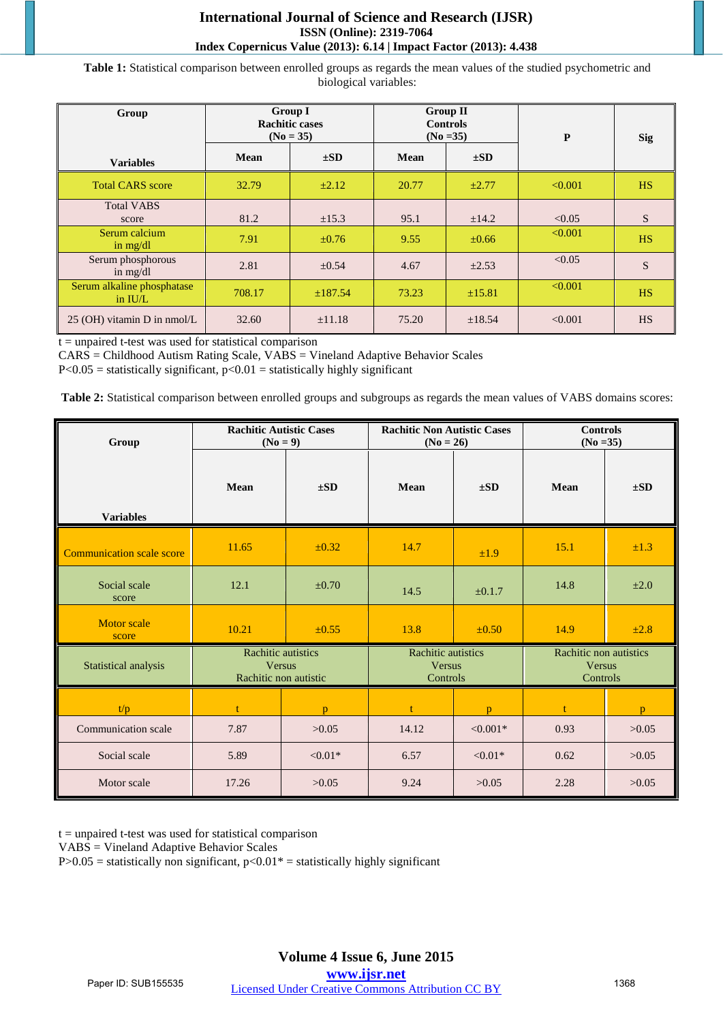## **International Journal of Science and Research (IJSR) ISSN (Online): 2319-7064 Index Copernicus Value (2013): 6.14 | Impact Factor (2013): 4.438**

**Table 1:** Statistical comparison between enrolled groups as regards the mean values of the studied psychometric and biological variables:

| Group                                   | <b>Group I</b><br><b>Rachitic cases</b><br>$(No = 35)$ |             | <b>Group II</b><br><b>Controls</b><br>$(No = 35)$ |             | P       | <b>Sig</b> |
|-----------------------------------------|--------------------------------------------------------|-------------|---------------------------------------------------|-------------|---------|------------|
| <b>Variables</b>                        | <b>Mean</b>                                            | $\pm SD$    | Mean                                              | $\pm SD$    |         |            |
| <b>Total CARS</b> score                 | 32.79                                                  | $\pm 2.12$  | 20.77                                             | $\pm 2.77$  | < 0.001 | <b>HS</b>  |
| <b>Total VABS</b><br>score              | 81.2                                                   | $\pm 15.3$  | 95.1                                              | $\pm 14.2$  | < 0.05  | S          |
| Serum calcium<br>in $mg/dl$             | 7.91                                                   | $\pm 0.76$  | 9.55                                              | $\pm 0.66$  | < 0.001 | <b>HS</b>  |
| Serum phosphorous<br>in $mg/dl$         | 2.81                                                   | $\pm 0.54$  | 4.67                                              | $\pm 2.53$  | < 0.05  | S          |
| Serum alkaline phosphatase<br>in $IU/L$ | 708.17                                                 | ±187.54     | 73.23                                             | $\pm 15.81$ | < 0.001 | <b>HS</b>  |
| $25$ (OH) vitamin D in nmol/L           | 32.60                                                  | $\pm 11.18$ | 75.20                                             | $\pm 18.54$ | < 0.001 | <b>HS</b>  |

 $t =$  unpaired t-test was used for statistical comparison

CARS = Childhood Autism Rating Scale, VABS = Vineland Adaptive Behavior Scales

 $P < 0.05$  = statistically significant,  $p < 0.01$  = statistically highly significant

**Table 2:** Statistical comparison between enrolled groups and subgroups as regards the mean values of VABS domains scores:

| Group                            | <b>Rachitic Non Autistic Cases</b><br><b>Rachitic Autistic Cases</b><br>$(No = 9)$<br>$(No = 26)$ |            |                                                 | <b>Controls</b><br>$(No = 35)$ |                                                     |              |
|----------------------------------|---------------------------------------------------------------------------------------------------|------------|-------------------------------------------------|--------------------------------|-----------------------------------------------------|--------------|
| <b>Variables</b>                 | Mean                                                                                              | $\pm SD$   | <b>Mean</b>                                     | $\pm SD$                       | <b>Mean</b>                                         | $\pm SD$     |
| <b>Communication scale score</b> | 11.65                                                                                             | $\pm 0.32$ | 14.7                                            | ±1.9                           | 15.1                                                | ±1.3         |
| Social scale<br>score            | 12.1                                                                                              | $\pm 0.70$ | 14.5                                            | ±0.1.7                         | 14.8                                                | $\pm 2.0$    |
| <b>Motor</b> scale<br>score      | 10.21                                                                                             | $\pm 0.55$ | 13.8                                            | ±0.50                          | 14.9                                                | ±2.8         |
| Statistical analysis             | <b>Rachitic autistics</b><br><b>Versus</b><br>Rachitic non autistic                               |            | Rachitic autistics<br><b>Versus</b><br>Controls |                                | Rachitic non autistics<br><b>Versus</b><br>Controls |              |
| t/p                              |                                                                                                   | p          | $\ddagger$                                      | $\mathbf{D}$                   |                                                     | $\mathbf{D}$ |
| Communication scale              | 7.87                                                                                              | >0.05      | 14.12                                           | $< 0.001*$                     | 0.93                                                | >0.05        |
| Social scale                     | 5.89                                                                                              | $< 0.01*$  | 6.57                                            | $< 0.01*$                      | 0.62                                                | >0.05        |
| Motor scale                      | 17.26                                                                                             | >0.05      | 9.24                                            | >0.05                          | 2.28                                                | >0.05        |

 $t =$  unpaired t-test was used for statistical comparison

VABS = Vineland Adaptive Behavior Scales

P $>0.05$  = statistically non significant, p $<0.01$ <sup>\*</sup> = statistically highly significant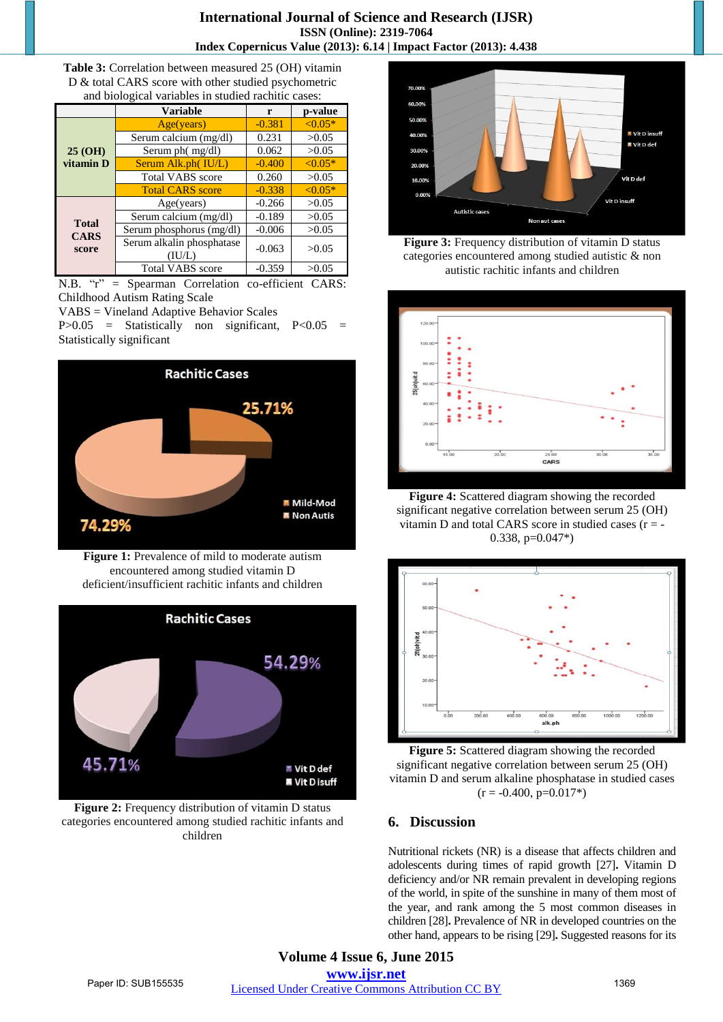**Table 3:** Correlation between measured 25 (OH) vitamin D & total CARS score with other studied psychometric and biological variables in studied rachitic cases:

| and profession variables in stadied racintic cases. |                                     |          |           |  |
|-----------------------------------------------------|-------------------------------------|----------|-----------|--|
|                                                     | <b>Variable</b>                     | r        | p-value   |  |
| 25 (OH)<br>vitamin D                                | Age(years)                          | $-0.381$ | $< 0.05*$ |  |
|                                                     | Serum calcium (mg/dl)               | 0.231    | >0.05     |  |
|                                                     | Serum ph $(mg/dl)$                  | 0.062    | >0.05     |  |
|                                                     | Serum Alk.ph(IU/L)                  | $-0.400$ | $< 0.05*$ |  |
|                                                     | <b>Total VABS</b> score             | 0.260    | >0.05     |  |
|                                                     | <b>Total CARS score</b>             | $-0.338$ | $< 0.05*$ |  |
| <b>Total</b><br><b>CARS</b><br>score                | Age(years)                          | $-0.266$ | >0.05     |  |
|                                                     | Serum calcium (mg/dl)               | $-0.189$ | >0.05     |  |
|                                                     | Serum phosphorus (mg/dl)            | $-0.006$ | >0.05     |  |
|                                                     | Serum alkalin phosphatase<br>(IU/L) | $-0.063$ | >0.05     |  |
|                                                     | <b>Total VABS</b> score             | $-0.359$ | >0.05     |  |

N.B. "r" = Spearman Correlation co-efficient CARS: Childhood Autism Rating Scale

VABS = Vineland Adaptive Behavior Scales

 $P > 0.05$  = Statistically non significant,  $P < 0.05$  = Statistically significant



**Figure 1:** Prevalence of mild to moderate autism encountered among studied vitamin D deficient/insufficient rachitic infants and children



**Figure 2:** Frequency distribution of vitamin D status categories encountered among studied rachitic infants and children



**Figure 3:** Frequency distribution of vitamin D status categories encountered among studied autistic & non autistic rachitic infants and children



**Figure 4:** Scattered diagram showing the recorded significant negative correlation between serum 25 (OH) vitamin D and total CARS score in studied cases  $(r = -1)$ 0.338, p=0.047\*)



**Figure 5:** Scattered diagram showing the recorded significant negative correlation between serum 25 (OH) vitamin D and serum alkaline phosphatase in studied cases  $(r = -0.400, p=0.017*)$ 

# **6. Discussion**

Nutritional rickets (NR) is a disease that affects children and adolescents during times of rapid growth [27]**.** Vitamin D deficiency and/or NR remain prevalent in developing regions of the world, in spite of the sunshine in many of them most of the year, and rank among the 5 most common diseases in children [28]**.** Prevalence of NR in developed countries on the other hand, appears to be rising [29]**.** Suggested reasons for its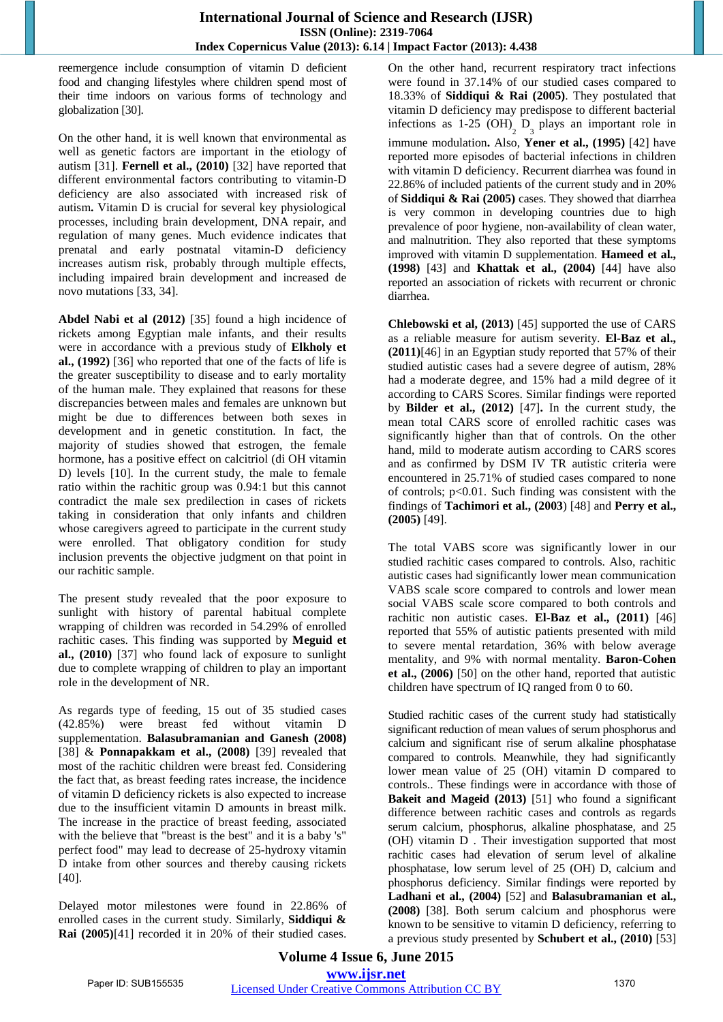reemergence include consumption of vitamin D deficient food and changing lifestyles where children spend most of their time indoors on various forms of technology and globalization [30].

On the other hand, it is well known that environmental as well as genetic factors are important in the etiology of autism [31]. **Fernell et al., (2010)** [32] have reported that different environmental factors contributing to vitamin-D deficiency are also associated with increased risk of autism**.** Vitamin D is crucial for several key physiological processes, including brain development, DNA repair, and regulation of many genes. Much evidence indicates that prenatal and early postnatal vitamin-D deficiency increases autism risk, probably through multiple effects, including impaired brain development and increased de novo mutations [33, 34].

**Abdel Nabi et al (2012)** [35] found a high incidence of rickets among Egyptian male infants, and their results were in accordance with a previous study of **Elkholy et al., (1992)** [36] who reported that one of the facts of life is the greater susceptibility to disease and to early mortality of the human male. They explained that reasons for these discrepancies between males and females are unknown but might be due to differences between both sexes in development and in genetic constitution. In fact, the majority of studies showed that estrogen, the female hormone, has a positive effect on calcitriol (di OH vitamin D) levels [10]. In the current study, the male to female ratio within the rachitic group was 0.94:1 but this cannot contradict the male sex predilection in cases of rickets taking in consideration that only infants and children whose caregivers agreed to participate in the current study were enrolled. That obligatory condition for study inclusion prevents the objective judgment on that point in our rachitic sample.

The present study revealed that the poor exposure to sunlight with history of parental habitual complete wrapping of children was recorded in 54.29% of enrolled rachitic cases. This finding was supported by **Meguid et al., (2010)** [37] who found lack of exposure to sunlight due to complete wrapping of children to play an important role in the development of NR.

As regards type of feeding, 15 out of 35 studied cases (42.85%) were breast fed without vitamin D supplementation. **Balasubramanian and Ganesh (2008)** [38] & **Ponnapakkam et al., (2008)** [39] revealed that most of the rachitic children were breast fed. Considering the fact that, as breast feeding rates increase, the incidence of vitamin D deficiency rickets is also expected to increase due to the insufficient vitamin D amounts in breast milk. The increase in the practice of breast feeding, associated with the believe that "breast is the best" and it is a baby 's" perfect food" may lead to decrease of 25-hydroxy vitamin D intake from other sources and thereby causing rickets [40].

Delayed motor milestones were found in 22.86% of enrolled cases in the current study. Similarly, **Siddiqui & Rai (2005)**[41] recorded it in 20% of their studied cases.

On the other hand, recurrent respiratory tract infections were found in 37.14% of our studied cases compared to 18.33% of **Siddiqui & Rai (2005)**. They postulated that vitamin D deficiency may predispose to different bacterial infections as 1-25 (OH)<sub>2</sub>  $D_3$  plays an important role in immune modulation**.** Also, **Yener et al., (1995)** [42] have reported more episodes of bacterial infections in children with vitamin D deficiency. Recurrent diarrhea was found in 22.86% of included patients of the current study and in 20% of **Siddiqui & Rai (2005)** cases. They showed that diarrhea is very common in developing countries due to high prevalence of poor hygiene, non-availability of clean water, and malnutrition. They also reported that these symptoms improved with vitamin D supplementation. **Hameed et al., (1998)** [43] and **Khattak et al., (2004)** [44] have also reported an association of rickets with recurrent or chronic diarrhea.

**Chlebowski et al, (2013)** [45] supported the use of CARS as a reliable measure for autism severity. **El-Baz et al., (2011)**[46] in an Egyptian study reported that 57% of their studied autistic cases had a severe degree of autism, 28% had a moderate degree, and 15% had a mild degree of it according to CARS Scores. Similar findings were reported by **Bilder et al., (2012)** [47]**.** In the current study, the mean total CARS score of enrolled rachitic cases was significantly higher than that of controls. On the other hand, mild to moderate autism according to CARS scores and as confirmed by DSM IV TR autistic criteria were encountered in 25.71% of studied cases compared to none of controls; p<0.01. Such finding was consistent with the findings of **[Tachimori et al., \(2003](http://www.ncbi.nlm.nih.gov/pmc/articles/PMC3612531/#R35)**) [48] and **[Perry et al.,](http://www.ncbi.nlm.nih.gov/pmc/articles/PMC3612531/#R25)  [\(2005\)](http://www.ncbi.nlm.nih.gov/pmc/articles/PMC3612531/#R25)** [49].

The total VABS score was significantly lower in our studied rachitic cases compared to controls. Also, rachitic autistic cases had significantly lower mean communication VABS scale score compared to controls and lower mean social VABS scale score compared to both controls and rachitic non autistic cases. **El-Baz et al., (2011)** [46] reported that 55% of autistic patients presented with mild to severe mental retardation, 36% with below average mentality, and 9% with normal mentality. **Baron-Cohen et al., (2006)** [50] on the other hand, reported that autistic children have spectrum of IQ ranged from 0 to 60.

Studied rachitic cases of the current study had statistically significant reduction of mean values of serum phosphorus and calcium and significant rise of serum alkaline phosphatase compared to controls. Meanwhile, they had significantly lower mean value of 25 (OH) vitamin D compared to controls.. These findings were in accordance with those of **Bakeit and Mageid (2013)** [51] who found a significant difference between rachitic cases and controls as regards serum calcium, phosphorus, alkaline phosphatase, and 25 (OH) vitamin D . Their investigation supported that most rachitic cases had elevation of serum level of alkaline phosphatase, low serum level of 25 (OH) D, calcium and phosphorus deficiency. Similar findings were reported by **Ladhani et al., (2004)** [52] and **Balasubramanian et al., (2008)** [38]. Both serum calcium and phosphorus were known to be sensitive to vitamin D deficiency, referring to a previous study presented by **Schubert et al., (2010)** [53]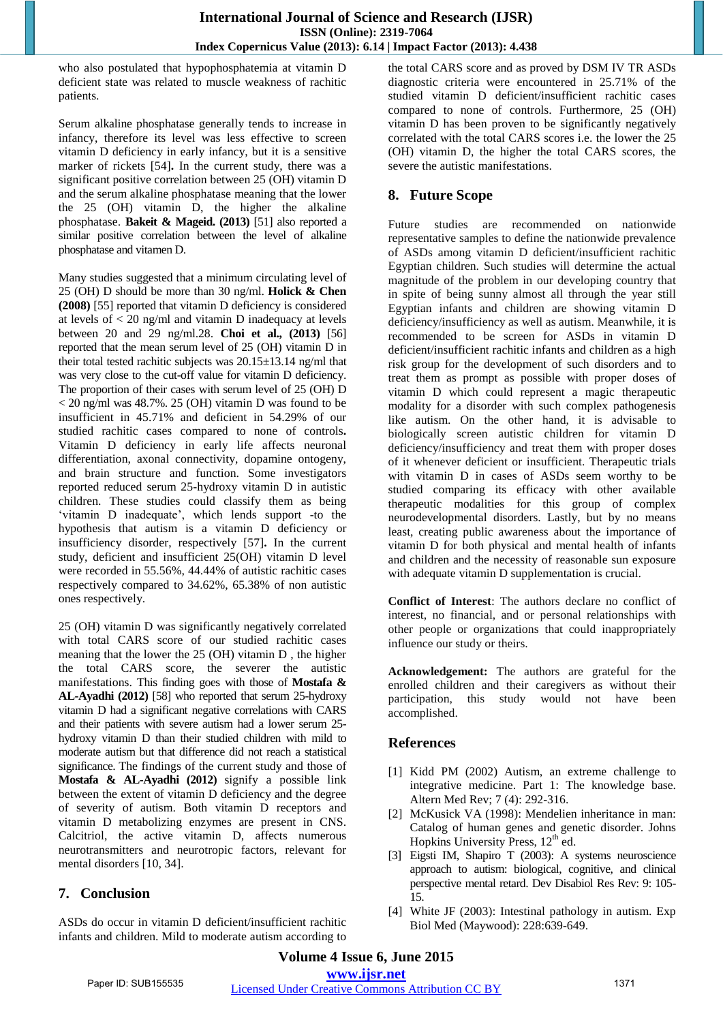who also postulated that hypophosphatemia at vitamin D deficient state was related to muscle weakness of rachitic patients.

Serum alkaline phosphatase generally tends to increase in infancy, therefore its level was less effective to screen vitamin D deficiency in early infancy, but it is a sensitive marker of rickets [54]**.** In the current study, there was a significant positive correlation between 25 (OH) vitamin D and the serum alkaline phosphatase meaning that the lower the 25 (OH) vitamin D, the higher the alkaline phosphatase. **Bakeit & Mageid. (2013)** [51] also reported a similar positive correlation between the level of alkaline phosphatase and vitamen D.

Many studies suggested that a minimum circulating level of 25 (OH) D should be more than 30 ng/ml. **Holick & Chen (2008)** [55] reported that vitamin D deficiency is considered at levels of < 20 ng/ml and vitamin D inadequacy at levels between 20 and 29 ng/ml.28. **Choi et al., (2013)** [56] reported that the mean serum level of 25 (OH) vitamin D in their total tested rachitic subjects was 20.15±13.14 ng/ml that was very close to the cut-off value for vitamin D deficiency. The proportion of their cases with serum level of 25 (OH) D  $<$  20 ng/ml was 48.7%. 25 (OH) vitamin D was found to be insufficient in 45.71% and deficient in 54.29% of our studied rachitic cases compared to none of controls**.** Vitamin D deficiency in early life affects neuronal differentiation, axonal connectivity, dopamine ontogeny, and brain structure and function. Some investigators reported reduced serum 25-hydroxy vitamin D in autistic children. These studies could classify them as being "vitamin D inadequate", which lends support -to the hypothesis that autism is a vitamin D deficiency or insufficiency disorder, respectively [57]**.** In the current study, deficient and insufficient 25(OH) vitamin D level were recorded in 55.56%, 44.44% of autistic rachitic cases respectively compared to 34.62%, 65.38% of non autistic ones respectively.

25 (OH) vitamin D was significantly negatively correlated with total CARS score of our studied rachitic cases meaning that the lower the 25 (OH) vitamin D , the higher the total CARS score, the severer the autistic manifestations. This finding goes with those of **Mostafa & AL-Ayadhi (2012)** [58] who reported that serum 25-hydroxy vitamin D had a significant negative correlations with CARS and their patients with severe autism had a lower serum 25 hydroxy vitamin D than their studied children with mild to moderate autism but that difference did not reach a statistical significance. The findings of the current study and those of **Mostafa & AL-Ayadhi (2012)** signify a possible link between the extent of vitamin D deficiency and the degree of severity of autism. Both vitamin D receptors and vitamin D metabolizing enzymes are present in CNS. Calcitriol, the active vitamin D, affects numerous neurotransmitters and neurotropic factors, relevant for mental disorders [10, 34].

# **7. Conclusion**

ASDs do occur in vitamin D deficient/insufficient rachitic infants and children. Mild to moderate autism according to the total CARS score and as proved by DSM IV TR ASDs diagnostic criteria were encountered in 25.71% of the studied vitamin D deficient/insufficient rachitic cases compared to none of controls. Furthermore, 25 (OH) vitamin D has been proven to be significantly negatively correlated with the total CARS scores i.e. the lower the 25 (OH) vitamin D, the higher the total CARS scores, the severe the autistic manifestations.

# **8. Future Scope**

Future studies are recommended on nationwide representative samples to define the nationwide prevalence of ASDs among vitamin D deficient/insufficient rachitic Egyptian children. Such studies will determine the actual magnitude of the problem in our developing country that in spite of being sunny almost all through the year still Egyptian infants and children are showing vitamin D deficiency/insufficiency as well as autism. Meanwhile, it is recommended to be screen for ASDs in vitamin D deficient/insufficient rachitic infants and children as a high risk group for the development of such disorders and to treat them as prompt as possible with proper doses of vitamin D which could represent a magic therapeutic modality for a disorder with such complex pathogenesis like autism. On the other hand, it is advisable to biologically screen autistic children for vitamin D deficiency/insufficiency and treat them with proper doses of it whenever deficient or insufficient. Therapeutic trials with vitamin D in cases of ASDs seem worthy to be studied comparing its efficacy with other available therapeutic modalities for this group of complex neurodevelopmental disorders. Lastly, but by no means least, creating public awareness about the importance of vitamin D for both physical and mental health of infants and children and the necessity of reasonable sun exposure with adequate vitamin D supplementation is crucial.

**Conflict of Interest**: The authors declare no conflict of interest, no financial, and or personal relationships with other people or organizations that could inappropriately influence our study or theirs.

**Acknowledgement:** The authors are grateful for the enrolled children and their caregivers as without their participation, this study would not have been accomplished.

# **References**

- [1] Kidd PM (2002) Autism, an extreme challenge to integrative medicine. Part 1: The knowledge base. Altern Med Rev; 7 (4): 292-316.
- [2] McKusick VA (1998): Mendelien inheritance in man: Catalog of human genes and genetic disorder. Johns Hopkins University Press, 12<sup>th</sup> ed.
- [3] Eigsti IM, Shapiro T (2003): A systems neuroscience approach to autism: biological, cognitive, and clinical perspective mental retard. Dev Disabiol Res Rev: 9: 105- 15.
- [4] White JF (2003): Intestinal pathology in autism. Exp Biol Med (Maywood): 228:639-649.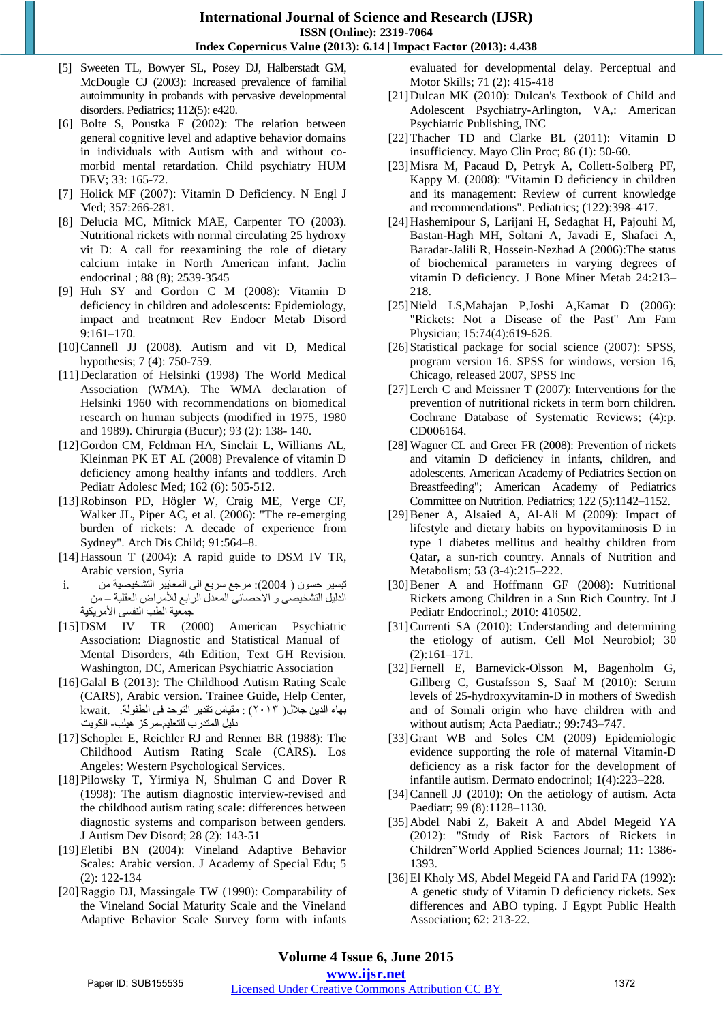## **International Journal of Science and Research (IJSR) ISSN (Online): 2319-7064 Index Copernicus Value (2013): 6.14 | Impact Factor (2013): 4.438**

- [5] Sweeten TL, Bowyer SL, Posey DJ, Halberstadt GM, McDougle CJ (2003): Increased prevalence of familial autoimmunity in probands with pervasive developmental disorders. Pediatrics; 112(5): e420.
- [6] Bolte S, Poustka F (2002): The relation between general cognitive level and adaptive behavior domains in individuals with Autism with and without comorbid mental retardation. Child psychiatry HUM DEV; 33: 165-72.
- [7] Holick MF (2007): Vitamin D Deficiency. N Engl J Med; 357:266-281.
- [8] Delucia MC, Mitnick MAE, Carpenter TO (2003). Nutritional rickets with normal circulating 25 hydroxy vit D: A call for reexamining the role of dietary calcium intake in North American infant. Jaclin endocrinal ; 88 (8); 2539-3545
- [9] Huh SY and Gordon C M (2008): Vitamin D deficiency in children and adolescents: Epidemiology, impact and treatment Rev Endocr Metab Disord 9:161–170.
- [10]Cannell JJ (2008). Autism and vit D, Medical hypothesis; 7 (4): 750-759.
- [11]Declaration of Helsinki (1998) The World Medical Association (WMA). The WMA declaration of Helsinki 1960 with recommendations on biomedical research on human subjects (modified in 1975, 1980 and 1989). Chirurgia (Bucur); 93 (2): 138- 140.
- [12]Gordon CM, Feldman HA, Sinclair L, Williams AL, Kleinman PK ET AL (2008) Prevalence of vitamin D deficiency among healthy infants and toddlers. Arch Pediatr Adolesc Med; 162 (6): 505-512.
- [13]Robinson PD, Högler W, Craig ME, Verge CF, Walker JL, Piper AC, et al. (2006): "The re-emerging burden of rickets: A decade of experience from Sydney". Arch Dis Child; 91:564–8.
- [14]Hassoun T (2004): A rapid guide to DSM IV TR, Arabic version, Syria
- )تيسير حسىن 2004 : ( مرجع سريع انى انمعايير انتشخيصية مه .i الدليل التشخيصى و الأحصائى المعدل الرابع للأمراض العقلية – من جمعية الطب النفسى الأمر يكية
- [15]DSM IV TR (2000) American Psychiatric Association: Diagnostic and Statistical Manual of Mental Disorders, 4th Edition, Text GH Revision. Washington, DC, American Psychiatric Association
- [16]Galal B (2013): The Childhood Autism Rating Scale (CARS), Arabic version. Trainee Guide, Help Center, تهاء انذيه جالل ) ٢٠١٣ : ( مقياس تقذير انتىحذ فى انطفىنة. .kwait دليل المتدرب للتعليم مركز هيلب- الكويت
- [17] Schopler E, Reichler RJ and Renner BR (1988): The Childhood Autism Rating Scale (CARS). Los Angeles: Western Psychological Services.
- [18]Pilowsky T, Yirmiya N, Shulman C and Dover R (1998): The autism diagnostic interview-revised and the childhood autism rating scale: differences between diagnostic systems and comparison between genders. J Autism Dev Disord; 28 (2): 143-51
- [19]Eletibi BN (2004): Vineland Adaptive Behavior Scales: Arabic version. J Academy of Special Edu; 5 (2): 122-134
- [20]Raggio DJ, Massingale TW (1990): Comparability of the Vineland Social Maturity Scale and the Vineland Adaptive Behavior Scale Survey form with infants

evaluated for developmental delay. Perceptual and Motor Skills; 71 (2): 415-418

- [21]Dulcan MK (2010): Dulcan's Textbook of Child and Adolescent Psychiatry-Arlington, VA,: American Psychiatric Publishing, INC
- [22]Thacher TD and Clarke BL (2011): Vitamin D insufficiency. Mayo Clin Proc; 86 (1): 50-60.
- [23]Misra M, Pacaud D, Petryk A, Collett-Solberg PF, Kappy M. (2008): "Vitamin D deficiency in children and its management: Review of current knowledge and recommendations". Pediatrics; (122):398–417.
- [24]Hashemipour S, Larijani H, Sedaghat H, Pajouhi M, Bastan-Hagh MH, Soltani A, Javadi E, Shafaei A, Baradar-Jalili R, Hossein-Nezhad A (2006):The status of biochemical parameters in varying degrees of vitamin D deficiency. J Bone Miner Metab 24:213– 218.
- [25]Nield LS,Mahajan P,Joshi A,Kamat D (2006): "Rickets: Not a Disease of the Past" Am Fam Physician; 15:74(4):619-626.
- [26]Statistical package for social science (2007): SPSS, program version 16. SPSS for windows, version 16, Chicago, released 2007, SPSS Inc
- [27]Lerch C and Meissner T (2007): Interventions for the prevention of nutritional rickets in term born children. Cochrane Database of Systematic Reviews; (4):p. CD006164.
- [28] Wagner CL and Greer FR (2008): Prevention of rickets and vitamin D deficiency in infants, children, and adolescents. American Academy of Pediatrics Section on Breastfeeding"; American Academy of Pediatrics Committee on Nutrition. Pediatrics; 122 (5):1142–1152.
- [29]Bener A, Alsaied A, Al-Ali M (2009): Impact of lifestyle and dietary habits on hypovitaminosis D in type 1 diabetes mellitus and healthy children from Qatar, a sun-rich country. Annals of Nutrition and Metabolism; 53 (3-4):215–222.
- [30[\]Bener](http://www.ncbi.nlm.nih.gov/pubmed/?term=Bener%20A%5Bauth%5D) A and Hoffmann GF (2008): Nutritional Rickets among Children in a Sun Rich Country. Int J Pediatr Endocrinol.; 2010: 410502.
- [31]Currenti SA (2010): Understanding and determining the etiology of autism. Cell Mol Neurobiol; 30 (2):161–171.
- [32]Fernell E, Barnevick-Olsson M, Bagenholm G, Gillberg C, Gustafsson S, Saaf M (2010): Serum levels of 25-hydroxyvitamin-D in mothers of Swedish and of Somali origin who have children with and without autism; Acta Paediatr.; 99:743–747.
- [33]Grant WB and Soles CM (2009) Epidemiologic evidence supporting the role of maternal Vitamin-D deficiency as a risk factor for the development of infantile autism. Dermato endocrinol; 1(4):223–228.
- [34]Cannell JJ (2010): On the aetiology of autism. Acta Paediatr; 99 (8):1128–1130.
- [35]Abdel Nabi Z, Bakeit A and Abdel Megeid YA (2012): "Study of Risk Factors of Rickets in Children"World Applied Sciences Journal; 11: 1386- 1393.
- [36]El Kholy MS, Abdel Megeid FA and Farid FA (1992): A genetic study of Vitamin D deficiency rickets. Sex differences and ABO typing. J Egypt Public Health Association; 62: 213-22.